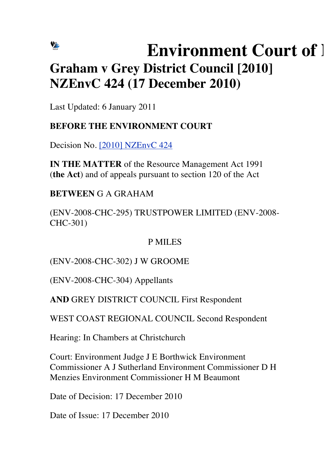# VE **Environment Court of 1 Graham v Grey District Council [2010] NZEnvC 424 (17 December 2010)**

Last Updated: 6 January 2011

## **BEFORE THE ENVIRONMENT COURT**

Decision No. [2010] NZEnvC 424

**IN THE MATTER** of the Resource Management Act 1991 (**the Act**) and of appeals pursuant to section 120 of the Act

**BETWEEN** G A GRAHAM

(ENV-2008-CHC-295) TRUSTPOWER LIMITED (ENV-2008- CHC-301)

## P MILES

(ENV-2008-CHC-302) J W GROOME

(ENV-2008-CHC-304) Appellants

**AND** GREY DISTRICT COUNCIL First Respondent

WEST COAST REGIONAL COUNCIL Second Respondent

Hearing: In Chambers at Christchurch

Court: Environment Judge J E Borthwick Environment Commissioner A J Sutherland Environment Commissioner D H Menzies Environment Commissioner H M Beaumont

Date of Decision: 17 December 2010

Date of Issue: 17 December 2010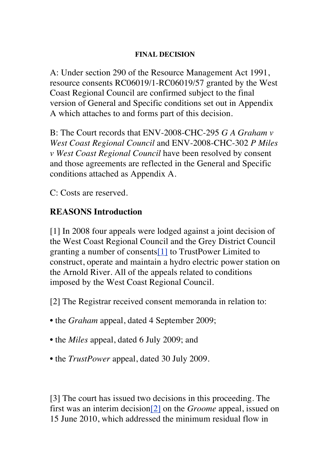#### **FINAL DECISION**

A: Under section 290 of the Resource Management Act 1991, resource consents RC06019/1-RC06019/57 granted by the West Coast Regional Council are confirmed subject to the final version of General and Specific conditions set out in Appendix A which attaches to and forms part of this decision.

B: The Court records that ENV-2008-CHC-295 *G A Graham v West Coast Regional Council* and ENV-2008-CHC-302 *P Miles v West Coast Regional Council* have been resolved by consent and those agreements are reflected in the General and Specific conditions attached as Appendix A.

C: Costs are reserved.

## **REASONS Introduction**

[1] In 2008 four appeals were lodged against a joint decision of the West Coast Regional Council and the Grey District Council granting a number of consents[1] to TrustPower Limited to construct, operate and maintain a hydro electric power station on the Arnold River. All of the appeals related to conditions imposed by the West Coast Regional Council.

[2] The Registrar received consent memoranda in relation to:

- the *Graham* appeal, dated 4 September 2009;
- the *Miles* appeal, dated 6 July 2009; and
- the *TrustPower* appeal, dated 30 July 2009.

[3] The court has issued two decisions in this proceeding. The first was an interim decision[2] on the *Groome* appeal, issued on 15 June 2010, which addressed the minimum residual flow in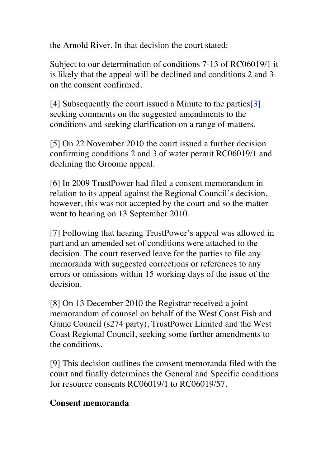the Arnold River. In that decision the court stated:

Subject to our determination of conditions 7-13 of RC06019/1 it is likely that the appeal will be declined and conditions 2 and 3 on the consent confirmed.

[4] Subsequently the court issued a Minute to the parties[3] seeking comments on the suggested amendments to the conditions and seeking clarification on a range of matters.

[5] On 22 November 2010 the court issued a further decision confirming conditions 2 and 3 of water permit RC06019/1 and declining the Groome appeal.

[6] In 2009 TrustPower had filed a consent memorandum in relation to its appeal against the Regional Council's decision, however, this was not accepted by the court and so the matter went to hearing on 13 September 2010.

[7] Following that hearing TrustPower's appeal was allowed in part and an amended set of conditions were attached to the decision. The court reserved leave for the parties to file any memoranda with suggested corrections or references to any errors or omissions within 15 working days of the issue of the decision.

[8] On 13 December 2010 the Registrar received a joint memorandum of counsel on behalf of the West Coast Fish and Game Council (s274 party), TrustPower Limited and the West Coast Regional Council, seeking some further amendments to the conditions.

[9] This decision outlines the consent memoranda filed with the court and finally determines the General and Specific conditions for resource consents RC06019/1 to RC06019/57.

### **Consent memoranda**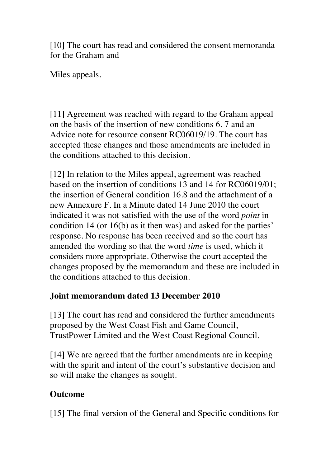[10] The court has read and considered the consent memoranda for the Graham and

Miles appeals.

[11] Agreement was reached with regard to the Graham appeal on the basis of the insertion of new conditions 6, 7 and an Advice note for resource consent RC06019/19. The court has accepted these changes and those amendments are included in the conditions attached to this decision.

[12] In relation to the Miles appeal, agreement was reached based on the insertion of conditions 13 and 14 for RC06019/01; the insertion of General condition 16.8 and the attachment of a new Annexure F. In a Minute dated 14 June 2010 the court indicated it was not satisfied with the use of the word *point* in condition 14 (or 16(b) as it then was) and asked for the parties' response. No response has been received and so the court has amended the wording so that the word *time* is used, which it considers more appropriate. Otherwise the court accepted the changes proposed by the memorandum and these are included in the conditions attached to this decision.

## **Joint memorandum dated 13 December 2010**

[13] The court has read and considered the further amendments proposed by the West Coast Fish and Game Council, TrustPower Limited and the West Coast Regional Council.

[14] We are agreed that the further amendments are in keeping with the spirit and intent of the court's substantive decision and so will make the changes as sought.

## **Outcome**

[15] The final version of the General and Specific conditions for